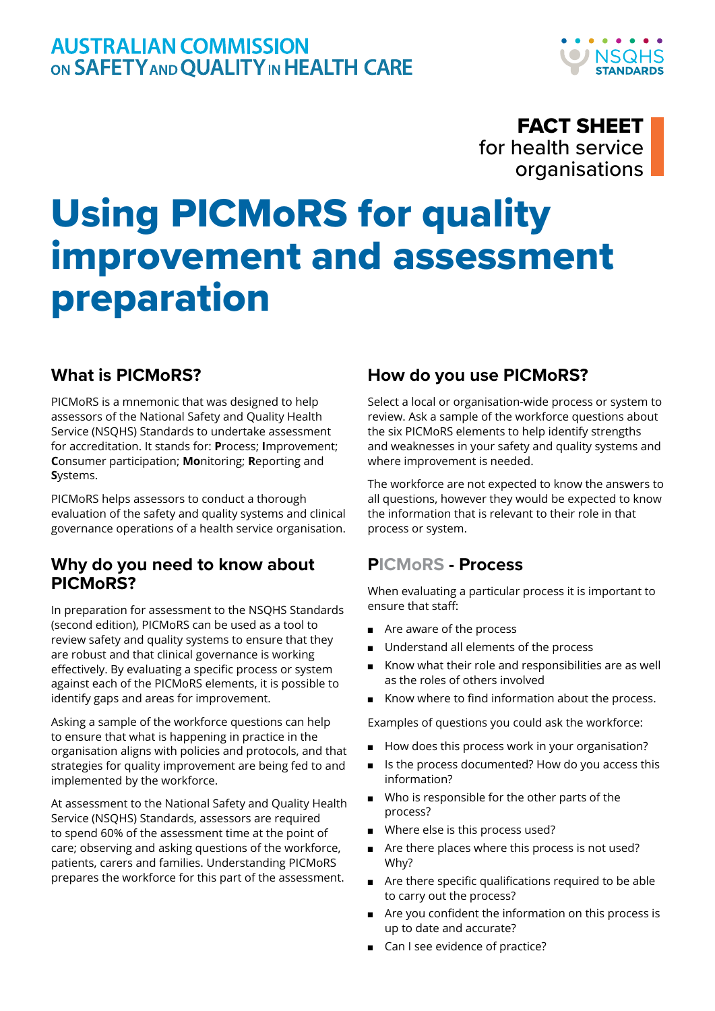## FACT SHEET for health service organisations

# Using PICMoRS for quality improvement and assessment preparation

### **What is PICMoRS?**

PICMoRS is a mnemonic that was designed to help assessors of the National Safety and Quality Health Service (NSQHS) Standards to undertake assessment for accreditation. It stands for: **P**rocess; **I**mprovement; **C**onsumer participation; **Mo**nitoring; **R**eporting and **S**ystems.

PICMoRS helps assessors to conduct a thorough evaluation of the safety and quality systems and clinical governance operations of a health service organisation.

#### **Why do you need to know about PICMoRS?**

In preparation for assessment to the NSQHS Standards (second edition), PICMoRS can be used as a tool to review safety and quality systems to ensure that they are robust and that clinical governance is working effectively. By evaluating a specific process or system against each of the PICMoRS elements, it is possible to identify gaps and areas for improvement.

Asking a sample of the workforce questions can help to ensure that what is happening in practice in the organisation aligns with policies and protocols, and that strategies for quality improvement are being fed to and implemented by the workforce.

At assessment to the National Safety and Quality Health Service (NSQHS) Standards, assessors are required to spend 60% of the assessment time at the point of care; observing and asking questions of the workforce, patients, carers and families. Understanding PICMoRS prepares the workforce for this part of the assessment.

#### **How do you use PICMoRS?**

Select a local or organisation-wide process or system to review. Ask a sample of the workforce questions about the six PICMoRS elements to help identify strengths and weaknesses in your safety and quality systems and where improvement is needed.

The workforce are not expected to know the answers to all questions, however they would be expected to know the information that is relevant to their role in that process or system.

#### **PICMoRS - Process**

When evaluating a particular process it is important to ensure that staff:

- Are aware of the process
- Understand all elements of the process
- Know what their role and responsibilities are as well as the roles of others involved
- Know where to find information about the process.

Examples of questions you could ask the workforce:

- How does this process work in your organisation?
- Is the process documented? How do you access this information?
- Who is responsible for the other parts of the process?
- Where else is this process used?
- Are there places where this process is not used? Why?
- Are there specific qualifications required to be able to carry out the process?
- Are you confident the information on this process is up to date and accurate?
- Can I see evidence of practice?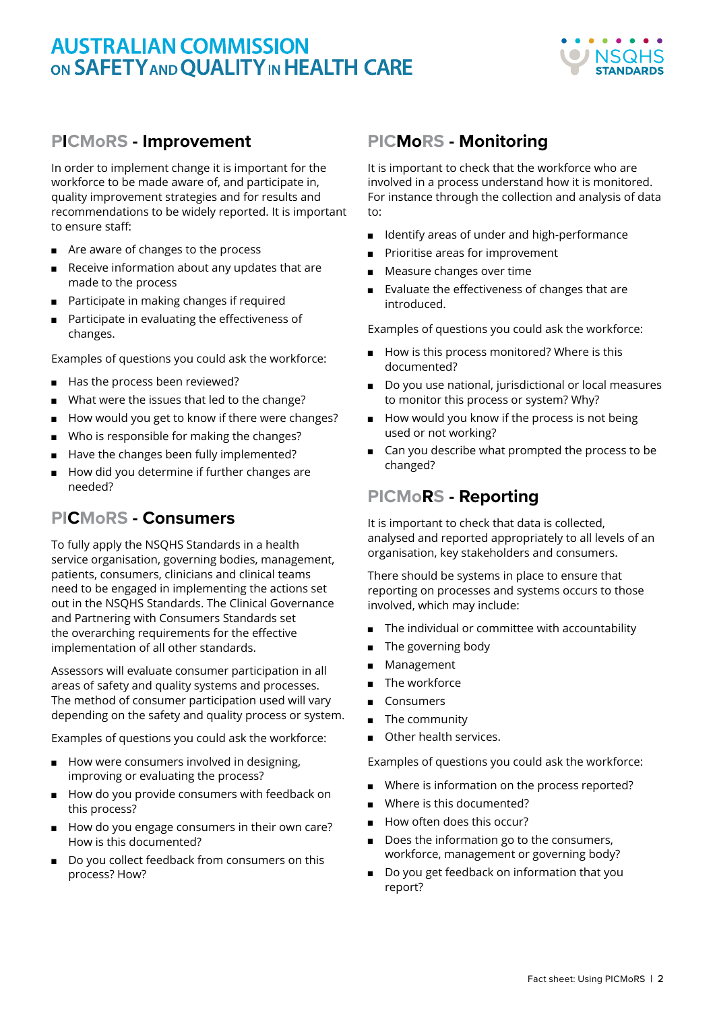# **AUSTRALIAN COMMISSION** ON SAFETY AND OUALITY IN HEALTH CARE



#### **PICMoRS - Improvement**

In order to implement change it is important for the workforce to be made aware of, and participate in, quality improvement strategies and for results and recommendations to be widely reported. It is important to ensure staff:

- Are aware of changes to the process
- Receive information about any updates that are made to the process
- Participate in making changes if required
- Participate in evaluating the effectiveness of changes.

Examples of questions you could ask the workforce:

- Has the process been reviewed?
- What were the issues that led to the change?
- How would you get to know if there were changes?
- Who is responsible for making the changes?
- Have the changes been fully implemented?
- How did you determine if further changes are needed?

#### **PICMoRS - Consumers**

To fully apply the NSQHS Standards in a health service organisation, governing bodies, management, patients, consumers, clinicians and clinical teams need to be engaged in implementing the actions set out in the NSQHS Standards. The Clinical Governance and Partnering with Consumers Standards set the overarching requirements for the effective implementation of all other standards.

Assessors will evaluate consumer participation in all areas of safety and quality systems and processes. The method of consumer participation used will vary depending on the safety and quality process or system.

Examples of questions you could ask the workforce:

- How were consumers involved in designing, improving or evaluating the process?
- How do you provide consumers with feedback on this process?
- How do you engage consumers in their own care? How is this documented?
- Do you collect feedback from consumers on this process? How?

#### **PICMoRS - Monitoring**

It is important to check that the workforce who are involved in a process understand how it is monitored. For instance through the collection and analysis of data to:

- Identify areas of under and high-performance
- Prioritise areas for improvement
- Measure changes over time
- Evaluate the effectiveness of changes that are introduced.

Examples of questions you could ask the workforce:

- How is this process monitored? Where is this documented?
- Do you use national, jurisdictional or local measures to monitor this process or system? Why?
- How would you know if the process is not being used or not working?
- Can you describe what prompted the process to be changed?

#### **PICMoRS - Reporting**

It is important to check that data is collected, analysed and reported appropriately to all levels of an organisation, key stakeholders and consumers.

There should be systems in place to ensure that reporting on processes and systems occurs to those involved, which may include:

- The individual or committee with accountability
- The governing body
- Management
- The workforce
- **Consumers**
- The community
- Other health services.

Examples of questions you could ask the workforce:

- Where is information on the process reported?
- Where is this documented?
- How often does this occur?
- Does the information go to the consumers, workforce, management or governing body?
- Do you get feedback on information that you report?